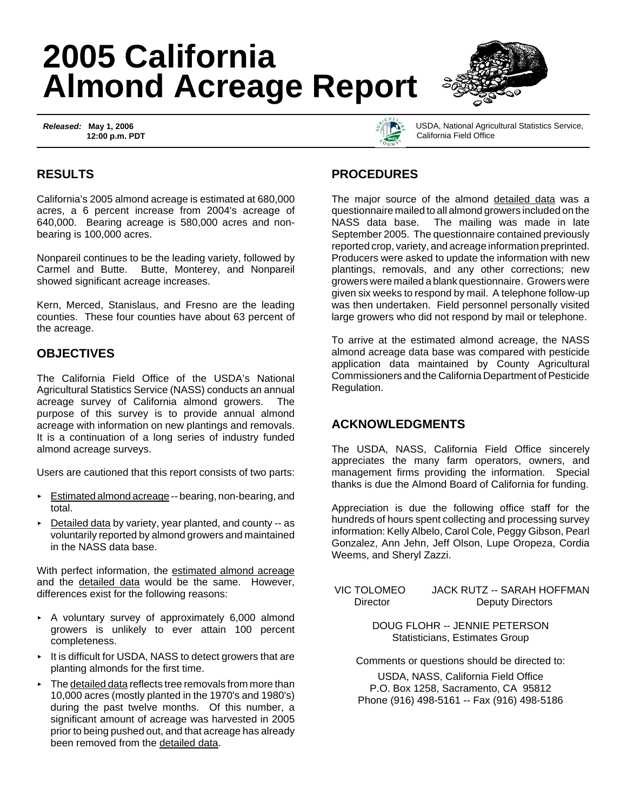# **2005 California Almond Acreage Report**

*Released:* **May 1, 2006 12:00 p.m. PDT**





USDA, National Agricultural Statistics Service, California Field Office

## **RESULTS**

California's 2005 almond acreage is estimated at 680,000 acres, a 6 percent increase from 2004's acreage of 640,000. Bearing acreage is 580,000 acres and nonbearing is 100,000 acres.

Nonpareil continues to be the leading variety, followed by Carmel and Butte. Butte, Monterey, and Nonpareil showed significant acreage increases.

Kern, Merced, Stanislaus, and Fresno are the leading counties. These four counties have about 63 percent of the acreage.

#### **OBJECTIVES**

The California Field Office of the USDA's National Agricultural Statistics Service (NASS) conducts an annual acreage survey of California almond growers. The purpose of this survey is to provide annual almond acreage with information on new plantings and removals. It is a continuation of a long series of industry funded almond acreage surveys.

Users are cautioned that this report consists of two parts:

- < Estimated almond acreage -- bearing, non-bearing, and total.
- $\triangleright$  Detailed data by variety, year planted, and county -- as voluntarily reported by almond growers and maintained in the NASS data base.

With perfect information, the estimated almond acreage and the detailed data would be the same. However, differences exist for the following reasons:

- $\triangleright$  A voluntary survey of approximately 6,000 almond growers is unlikely to ever attain 100 percent completeness.
- < It is difficult for USDA, NASS to detect growers that are planting almonds for the first time.
- $\triangleright$  The detailed data reflects tree removals from more than 10,000 acres (mostly planted in the 1970's and 1980's) during the past twelve months. Of this number, a significant amount of acreage was harvested in 2005 prior to being pushed out, and that acreage has already been removed from the detailed data.

### **PROCEDURES**

The major source of the almond detailed data was a questionnaire mailed to all almond growers included on the NASS data base. The mailing was made in late September 2005. The questionnaire contained previously reported crop, variety, and acreage information preprinted. Producers were asked to update the information with new plantings, removals, and any other corrections; new growers were mailed a blank questionnaire. Growers were given six weeks to respond by mail. A telephone follow-up was then undertaken. Field personnel personally visited large growers who did not respond by mail or telephone.

To arrive at the estimated almond acreage, the NASS almond acreage data base was compared with pesticide application data maintained by County Agricultural Commissioners and the California Department of Pesticide Regulation.

#### **ACKNOWLEDGMENTS**

The USDA, NASS, California Field Office sincerely appreciates the many farm operators, owners, and management firms providing the information. Special thanks is due the Almond Board of California for funding.

Appreciation is due the following office staff for the hundreds of hours spent collecting and processing survey information: Kelly Albelo, Carol Cole, Peggy Gibson, Pearl Gonzalez, Ann Jehn, Jeff Olson, Lupe Oropeza, Cordia Weems, and Sheryl Zazzi.

 VIC TOLOMEO JACK RUTZ -- SARAH HOFFMAN Director Deputy Directors

> DOUG FLOHR -- JENNIE PETERSON Statisticians, Estimates Group

Comments or questions should be directed to:

USDA, NASS, California Field Office P.O. Box 1258, Sacramento, CA 95812 Phone (916) 498-5161 -- Fax (916) 498-5186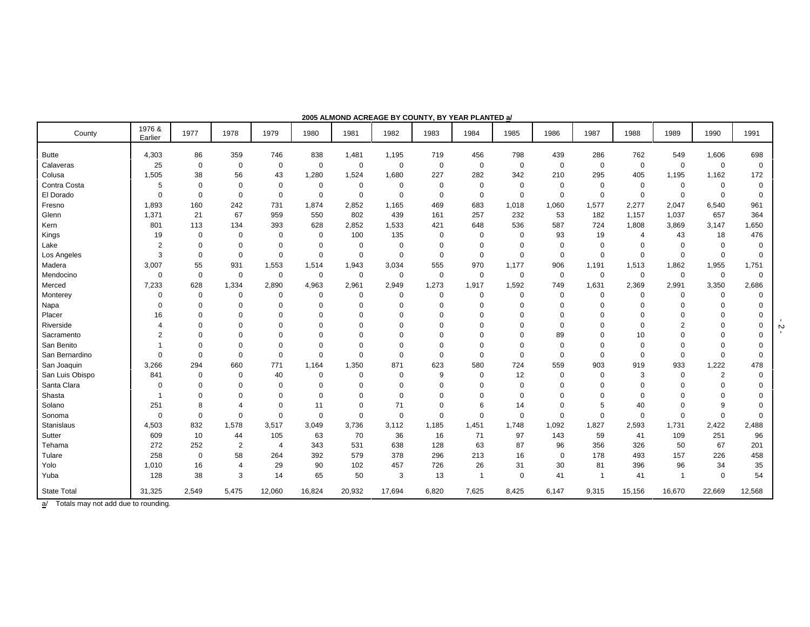| County             | 1976 &<br>Earlier | 1977           | 1978           | 1979        | 1980        | 1981        | 1982        | 1983        | 1984        | 1985        | 1986        | 1987        | 1988                     | 1989           | 1990           | 1991        |
|--------------------|-------------------|----------------|----------------|-------------|-------------|-------------|-------------|-------------|-------------|-------------|-------------|-------------|--------------------------|----------------|----------------|-------------|
| <b>Butte</b>       | 4,303             | 86             | 359            | 746         | 838         | 1,481       | 1,195       | 719         | 456         | 798         | 439         | 286         | 762                      | 549            | 1,606          | 698         |
| Calaveras          | 25                | $\mathbf 0$    | $\mathbf 0$    | $\mathbf 0$ | $\mathbf 0$ | 0           | $\mathbf 0$ | $\mathbf 0$ | $\mathbf 0$ | 0           | $\mathbf 0$ | $\mathbf 0$ | $\mathbf 0$              | $\mathbf 0$    | $\mathbf 0$    | 0           |
| Colusa             | 1,505             | 38             | 56             | 43          | 1,280       | 1,524       | 1,680       | 227         | 282         | 342         | 210         | 295         | 405                      | 1,195          | 1,162          | 172         |
| Contra Costa       | 5                 | $\overline{0}$ | $\mathbf 0$    | $\mathbf 0$ | $\mathbf 0$ | 0           | $\mathbf 0$ | $\mathbf 0$ | $\mathbf 0$ | 0           | $\mathbf 0$ | 0           | 0                        | $\mathbf 0$    | 0              | 0           |
| El Dorado          | $\mathbf 0$       | $\overline{0}$ | $\mathbf 0$    | $\mathbf 0$ | $\mathbf 0$ | $\mathbf 0$ | $\mathbf 0$ | $\Omega$    | $\mathbf 0$ | 0           | $\mathbf 0$ | $\mathbf 0$ | 0                        | $\mathbf 0$    | $\mathbf 0$    | 0           |
| Fresno             | 1,893             | 160            | 242            | 731         | 1,874       | 2,852       | 1,165       | 469         | 683         | 1,018       | 1,060       | 1,577       | 2,277                    | 2,047          | 6,540          | 961         |
| Glenn              | 1,371             | 21             | 67             | 959         | 550         | 802         | 439         | 161         | 257         | 232         | 53          | 182         | 1,157                    | 1,037          | 657            | 364         |
| Kern               | 801               | 113            | 134            | 393         | 628         | 2,852       | 1,533       | 421         | 648         | 536         | 587         | 724         | 1,808                    | 3,869          | 3,147          | 1,650       |
| Kings              | 19                | $\mathbf 0$    | $\mathbf 0$    | $\mathbf 0$ | $\mathbf 0$ | 100         | 135         | $\Omega$    | $\mathbf 0$ | $\mathbf 0$ | 93          | 19          | $\overline{\mathcal{A}}$ | 43             | 18             | 476         |
| Lake               | $\overline{c}$    | $\Omega$       | $\mathbf 0$    | $\mathbf 0$ | $\mathbf 0$ | $\mathbf 0$ | $\mathbf 0$ | $\Omega$    | $\Omega$    | $\Omega$    | $\Omega$    | $\Omega$    | $\Omega$                 | $\Omega$       | $\mathbf 0$    | 0           |
| Los Angeles        | 3                 | $\mathbf 0$    | $\overline{0}$ | $\mathbf 0$ | $\mathbf 0$ | $\mathbf 0$ | $\mathbf 0$ | $\Omega$    | $\mathbf 0$ | $\mathbf 0$ | $\Omega$    | $\mathbf 0$ | $\mathbf 0$              | $\mathbf 0$    | $\mathbf 0$    | 0           |
| Madera             | 3,007             | 55             | 931            | 1,553       | 1,514       | 1,943       | 3,034       | 555         | 970         | 1,177       | 906         | 1,191       | 1,513                    | 1,862          | 1,955          | 1,751       |
| Mendocino          | $\mathbf 0$       | $\mathbf 0$    | $\mathbf 0$    | $\mathbf 0$ | $\mathbf 0$ | 0           | $\mathbf 0$ | 0           | $\mathbf 0$ | $\mathbf 0$ | $\mathbf 0$ | $\mathbf 0$ | $\mathbf 0$              | $\mathbf 0$    | $\mathbf 0$    | $\mathbf 0$ |
| Merced             | 7,233             | 628            | 1,334          | 2,890       | 4,963       | 2,961       | 2,949       | 1,273       | 1,917       | 1,592       | 749         | 1,631       | 2,369                    | 2,991          | 3,350          | 2,686       |
| Monterey           | 0                 | $\mathbf 0$    | $\mathbf 0$    | $\mathbf 0$ | 0           | 0           | 0           | $\Omega$    | $\mathbf 0$ | $\Omega$    | 0           | 0           | 0                        | 0              | 0              | 0           |
| Napa               | $\mathbf 0$       | $\Omega$       | $\mathbf 0$    | $\Omega$    | $\Omega$    | 0           | $\mathbf 0$ | $\Omega$    | $\Omega$    | O           |             | $\Omega$    | $\Omega$                 | $\Omega$       | $\mathbf 0$    | $\Omega$    |
| Placer             | 16                | $\Omega$       | $\Omega$       | $\Omega$    | $\Omega$    | $\Omega$    | $\Omega$    | $\Omega$    | $\Omega$    | $\Omega$    |             | $\Omega$    | $\Omega$                 | $\Omega$       | $\Omega$       | $\Omega$    |
| Riverside          | $\overline{4}$    | $\Omega$       | $\Omega$       | $\Omega$    | $\Omega$    | $\Omega$    | $\Omega$    |             | $\Omega$    | $\Omega$    | $\Omega$    | 0           | 0                        | $\overline{2}$ | $\mathbf 0$    | $\Omega$    |
| Sacramento         | $\overline{2}$    | $\Omega$       | $\Omega$       | $\Omega$    | ∩           | $\Omega$    | $\Omega$    |             | $\Omega$    | $\Omega$    | 89          | $\Omega$    | 10                       | $\Omega$       | $\mathbf 0$    | $\Omega$    |
| San Benito         | 1                 | $\Omega$       | $\Omega$       | $\mathbf 0$ | $\Omega$    | $\Omega$    | $\mathbf 0$ | $\Omega$    | $\Omega$    | $\Omega$    | $\Omega$    | $\Omega$    | $\mathbf 0$              | $\Omega$       | $\mathbf 0$    | $\Omega$    |
| San Bernardino     | $\mathbf 0$       | $\Omega$       | $\Omega$       | $\mathbf 0$ | $\Omega$    | $\Omega$    | $\mathbf 0$ | $\Omega$    | $\Omega$    | $\mathbf 0$ | $\Omega$    | $\Omega$    | $\mathbf 0$              | $\Omega$       | $\mathbf 0$    | $\mathbf 0$ |
| San Joaquin        | 3,266             | 294            | 660            | 771         | 1,164       | 1,350       | 871         | 623         | 580         | 724         | 559         | 903         | 919                      | 933            | 1,222          | 478         |
| San Luis Obispo    | 841               | $\mathbf 0$    | $\mathbf 0$    | 40          | $\Omega$    | $\mathbf 0$ | $\mathbf 0$ | 9           | $\Omega$    | 12          | $\Omega$    | 0           | 3                        | $\mathbf 0$    | $\overline{2}$ | $\Omega$    |
| Santa Clara        | $\mathbf 0$       | $\Omega$       | $\Omega$       | $\mathbf 0$ | $\Omega$    | $\Omega$    | $\Omega$    |             | $\Omega$    | $\Omega$    |             | $\Omega$    | $\Omega$                 | $\Omega$       | $\Omega$       | $\Omega$    |
| Shasta             | $\overline{1}$    | $\mathbf 0$    | $\mathbf 0$    | $\mathbf 0$ | $\Omega$    | 0           | $\mathbf 0$ | $\Omega$    | $\Omega$    | $\Omega$    |             | $\Omega$    | 0                        | $\Omega$       | $\mathbf 0$    | $\Omega$    |
| Solano             | 251               | 8              | $\overline{4}$ | $\mathbf 0$ | 11          | 0           | 71          | $\Omega$    | 6           | 14          |             | 5           | 40                       | $\Omega$       | 9              | $\Omega$    |
| Sonoma             | 0                 | $\overline{0}$ | $\mathbf 0$    | $\mathbf 0$ | $\Omega$    | 0           | $\mathbf 0$ | $\Omega$    | $\Omega$    | $\mathbf 0$ | $\Omega$    | $\Omega$    | $\mathbf 0$              | $\Omega$       | $\mathbf 0$    | $\mathbf 0$ |
| Stanislaus         | 4,503             | 832            | 1,578          | 3,517       | 3,049       | 3,736       | 3,112       | 1,185       | 1,451       | 1,748       | 1,092       | 1,827       | 2,593                    | 1,731          | 2,422          | 2,488       |
| Sutter             | 609               | 10             | 44             | 105         | 63          | 70          | 36          | 16          | 71          | 97          | 143         | 59          | 41                       | 109            | 251            | 96          |
| Tehama             | 272               | 252            | $\overline{2}$ | 4           | 343         | 531         | 638         | 128         | 63          | 87          | 96          | 356         | 326                      | 50             | 67             | 201         |
| Tulare             | 258               | $\pmb{0}$      | 58             | 264         | 392         | 579         | 378         | 296         | 213         | 16          | $\Omega$    | 178         | 493                      | 157            | 226            | 458         |
| Yolo               | 1,010             | 16             | $\overline{4}$ | 29          | 90          | 102         | 457         | 726         | 26          | 31          | 30          | 81          | 396                      | 96             | 34             | 35          |
| Yuba               | 128               | 38             | 3              | 14          | 65          | 50          | 3           | 13          | -1          | 0           | 41          | -1          | 41                       | $\mathbf{1}$   | $\mathbf 0$    | 54          |
| <b>State Total</b> | 31,325            | 2,549          | 5,475          | 12,060      | 16,824      | 20,932      | 17,694      | 6,820       | 7,625       | 8,425       | 6,147       | 9,315       | 15,156                   | 16,670         | 22,669         | 12,568      |

**2005 ALMOND ACREAGE BY COUNTY, BY YEAR PLANTED a/**

a/ Totals may not add due to rounding.

 $\frac{5}{2}$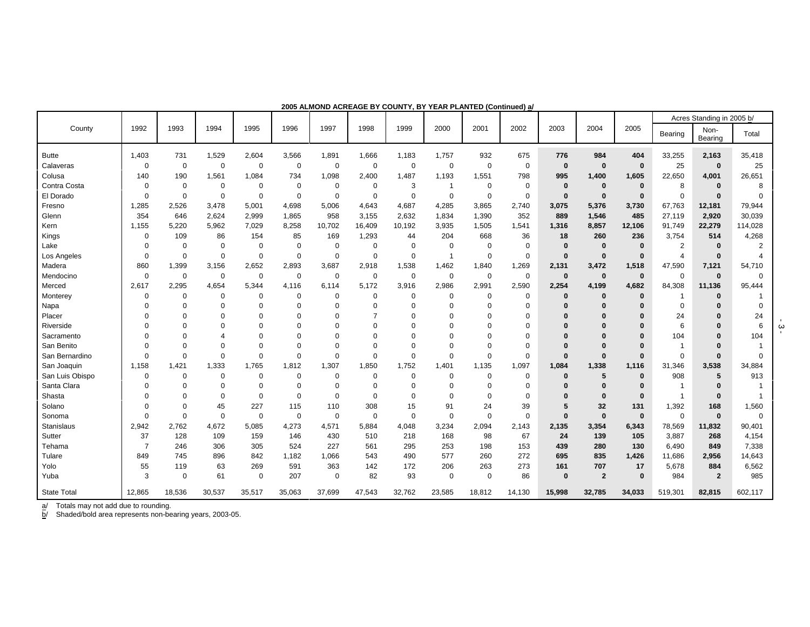|                    |                |             |             |             |                |             |             |             |                |             |             |             |                |             |                | Acres Standing in 2005 b/ |                |
|--------------------|----------------|-------------|-------------|-------------|----------------|-------------|-------------|-------------|----------------|-------------|-------------|-------------|----------------|-------------|----------------|---------------------------|----------------|
| County             | 1992           | 1993        | 1994        | 1995        | 1996           | 1997        | 1998        | 1999        | 2000           | 2001        | 2002        | 2003        | 2004           | 2005        | Bearing        | Non-<br>Bearing           | Total          |
| <b>Butte</b>       | 1,403          | 731         | 1,529       | 2,604       | 3,566          | 1,891       | 1,666       | 1,183       | 1,757          | 932         | 675         | 776         | 984            | 404         | 33,255         | 2,163                     | 35,418         |
| Calaveras          | $\mathbf 0$    | 0           | $\mathbf 0$ | 0           | $\mathbf 0$    | $\pmb{0}$   | $\pmb{0}$   | 0           | $\pmb{0}$      | $\mathbf 0$ | 0           | $\mathbf 0$ | $\mathbf 0$    | $\bf{0}$    | 25             | $\mathbf 0$               | 25             |
| Colusa             | 140            | 190         | 1,561       | 1,084       | 734            | 1,098       | 2,400       | 1,487       | 1,193          | 1,551       | 798         | 995         | 1,400          | 1,605       | 22,650         | 4,001                     | 26,651         |
| Contra Costa       | 0              | $\mathbf 0$ | 0           | 0           | $\mathbf 0$    | 0           | 0           | 3           | -1             | $\mathbf 0$ | 0           | $\bf{0}$    | $\bf{0}$       | $\bf{0}$    | 8              | $\bf{0}$                  | 8              |
| El Dorado          | $\Omega$       | $\Omega$    | $\Omega$    | 0           | $\mathbf 0$    | 0           | $\mathbf 0$ | 0           | $\mathbf 0$    | $\mathbf 0$ | 0           | $\bf{0}$    | 0              | $\bf{0}$    | $\Omega$       | $\bf{0}$                  | $\Omega$       |
| Fresno             | 1,285          | 2,526       | 3,478       | 5,001       | 4,698          | 5,006       | 4,643       | 4,687       | 4,285          | 3,865       | 2,740       | 3,075       | 5,376          | 3,730       | 67,763         | 12,181                    | 79,944         |
| Glenn              | 354            | 646         | 2,624       | 2,999       | 1,865          | 958         | 3,155       | 2,632       | 1,834          | 1,390       | 352         | 889         | 1,546          | 485         | 27,119         | 2,920                     | 30,039         |
| Kern               | 1,155          | 5,220       | 5,962       | 7,029       | 8,258          | 10,702      | 16,409      | 10,192      | 3,935          | 1,505       | 1,541       | 1,316       | 8,857          | 12,106      | 91,749         | 22,279                    | 114,028        |
| Kings              | $\mathbf 0$    | 109         | 86          | 154         | 85             | 169         | 1,293       | 44          | 204            | 668         | 36          | 18          | 260            | 236         | 3,754          | 514                       | 4,268          |
| Lake               | $\Omega$       | $\mathbf 0$ | 0           | 0           | $\mathbf 0$    | 0           | $\mathbf 0$ | 0           | $\mathbf 0$    | $\mathbf 0$ | 0           | $\bf{0}$    | $\bf{0}$       | $\mathbf 0$ | $\overline{2}$ | $\bf{0}$                  | $\overline{2}$ |
| Los Angeles        | $\Omega$       | $\mathbf 0$ | $\Omega$    | $\Omega$    | $\overline{0}$ | $\mathbf 0$ | $\Omega$    | $\Omega$    | $\overline{1}$ | $\Omega$    | 0           | $\bf{0}$    | $\mathbf{0}$   | $\bf{0}$    | $\overline{4}$ | $\mathbf 0$               |                |
| Madera             | 860            | 1,399       | 3,156       | 2,652       | 2,893          | 3,687       | 2,918       | 1,538       | 1,462          | 1,840       | 1,269       | 2,131       | 3,472          | 1,518       | 47,590         | 7,121                     | 54,710         |
| Mendocino          | $\mathbf 0$    | $\mathbf 0$ | 0           | $\Omega$    | $\mathbf 0$    | $\mathbf 0$ | $\mathbf 0$ | $\mathbf 0$ | $\mathbf 0$    | $\mathbf 0$ | 0           | $\bf{0}$    | $\mathbf 0$    | $\bf{0}$    | $\Omega$       | $\bf{0}$                  | $\Omega$       |
| Merced             | 2,617          | 2,295       | 4,654       | 5,344       | 4,116          | 6,114       | 5,172       | 3,916       | 2,986          | 2,991       | 2,590       | 2,254       | 4,199          | 4,682       | 84,308         | 11,136                    | 95,444         |
| Monterey           | $\Omega$       | $\Omega$    | $\Omega$    | $\Omega$    | $\mathbf 0$    | 0           | $\mathbf 0$ | $\Omega$    | $\Omega$       | $\Omega$    | $\Omega$    | $\bf{0}$    | 0              | $\bf{0}$    | -1             | $\bf{0}$                  | -1             |
| Napa               | 0              | $\Omega$    | $\Omega$    | $\Omega$    | $\Omega$       | $\Omega$    | 0           | $\Omega$    | $\Omega$       | $\Omega$    | $\Omega$    | $\Omega$    |                | $\bf{0}$    | $\Omega$       | 0                         | $\Omega$       |
| Placer             | $\Omega$       | $\Omega$    | $\Omega$    | $\Omega$    | $\Omega$       | $\Omega$    | 7           | $\Omega$    | $\Omega$       | $\Omega$    | $\Omega$    | $\Omega$    |                | $\bf{0}$    | 24             | 0                         | 24             |
| Riverside          | $\Omega$       | $\Omega$    | 0           | $\Omega$    | 0              | 0           | 0           | $\Omega$    | 0              | $\mathbf 0$ | 0           | $\Omega$    |                | $\Omega$    | 6              | $\Omega$                  | 6              |
| Sacramento         | $\Omega$       | $\Omega$    | 4           | $\Omega$    | 0              | $\Omega$    | 0           | $\Omega$    | 0              | $\Omega$    | 0           | $\Omega$    |                | $\Omega$    | 104            | $\Omega$                  | 104            |
| San Benito         | $\Omega$       | $\Omega$    | $\Omega$    | $\Omega$    | $\mathbf 0$    | $\mathbf 0$ | 0           | $\Omega$    | $\mathbf 0$    | $\Omega$    | $\mathbf 0$ | $\Omega$    | $\Omega$       | $\Omega$    | -1             |                           |                |
| San Bernardino     | $\mathbf 0$    | $\Omega$    | $\Omega$    | $\Omega$    | $\mathbf 0$    | $\mathbf 0$ | $\mathbf 0$ | $\mathbf 0$ | $\mathbf 0$    | $\Omega$    | $\mathbf 0$ | $\Omega$    | $\Omega$       | $\bf{0}$    | $\mathbf 0$    | $\mathbf 0$               | $\mathbf 0$    |
| San Joaquin        | 1,158          | 1,421       | 1,333       | 1,765       | 1,812          | 1,307       | 1,850       | 1,752       | 1,401          | 1,135       | 1,097       | 1,084       | 1,338          | 1,116       | 31,346         | 3,538                     | 34,884         |
| San Luis Obispo    | $\mathbf 0$    | $\Omega$    | 0           | $\mathbf 0$ | $\mathbf 0$    | $\mathbf 0$ | 0           | 0           | $\mathbf 0$    | $\Omega$    | 0           | $\Omega$    | 5              | $\bf{0}$    | 908            | 5                         | 913            |
| Santa Clara        | $\Omega$       | $\Omega$    | 0           | $\mathbf 0$ | $\mathbf 0$    | $\mathbf 0$ | $\mathbf 0$ | $\Omega$    | $\mathbf 0$    | $\Omega$    | $\mathbf 0$ | 0           | 0              | $\bf{0}$    | -1             | $\bf{0}$                  |                |
| Shasta             | $\Omega$       | $\Omega$    | 0           | 0           | $\mathbf 0$    | 0           | $\mathbf 0$ | $\Omega$    | $\mathbf 0$    | $\mathbf 0$ | 0           |             | $\bf{0}$       | $\mathbf 0$ | $\mathbf{1}$   | $\bf{0}$                  |                |
| Solano             | $\Omega$       | $\mathbf 0$ | 45          | 227         | 115            | 110         | 308         | 15          | 91             | 24          | 39          | 5           | 32             | 131         | 1,392          | 168                       | 1,560          |
| Sonoma             | $\mathbf 0$    | 0           | 0           | $\mathbf 0$ | $\mathbf 0$    | $\mathbf 0$ | $\mathbf 0$ | $\mathbf 0$ | $\mathbf 0$    | $\mathbf 0$ | 0           | $\Omega$    | $\mathbf 0$    | $\mathbf 0$ | $\mathbf 0$    | $\mathbf 0$               | $\mathbf 0$    |
| Stanislaus         | 2,942          | 2,762       | 4,672       | 5,085       | 4,273          | 4,571       | 5,884       | 4,048       | 3,234          | 2,094       | 2,143       | 2,135       | 3,354          | 6,343       | 78,569         | 11,832                    | 90,401         |
| Sutter             | 37             | 128         | 109         | 159         | 146            | 430         | 510         | 218         | 168            | 98          | 67          | 24          | 139            | 105         | 3,887          | 268                       | 4,154          |
| Tehama             | $\overline{7}$ | 246         | 306         | 305         | 524            | 227         | 561         | 295         | 253            | 198         | 153         | 439         | 280            | 130         | 6,490          | 849                       | 7,338          |
| Tulare             | 849            | 745         | 896         | 842         | 1,182          | 1,066       | 543         | 490         | 577            | 260         | 272         | 695         | 835            | 1,426       | 11,686         | 2,956                     | 14,643         |
| Yolo               | 55             | 119         | 63          | 269         | 591            | 363         | 142         | 172         | 206            | 263         | 273         | 161         | 707            | 17          | 5,678          | 884                       | 6,562          |
| Yuba               | 3              | $\Omega$    | 61          | 0           | 207            | $\mathbf 0$ | 82          | 93          | $\mathbf 0$    | $\Omega$    | 86          | $\bf{0}$    | $\overline{2}$ | $\mathbf 0$ | 984            | $\overline{2}$            | 985            |
| <b>State Total</b> | 12,865         | 18,536      | 30,537      | 35,517      | 35,063         | 37,699      | 47,543      | 32,762      | 23,585         | 18,812      | 14,130      | 15,998      | 32,785         | 34,033      | 519,301        | 82,815                    | 602,117        |

**2005 ALMOND ACREAGE BY COUNTY, BY YEAR PLANTED (Continued) a/**

a/ Totals may not add due to rounding.

b/ Shaded/bold area represents non-bearing years, 2003-05.

- 3 -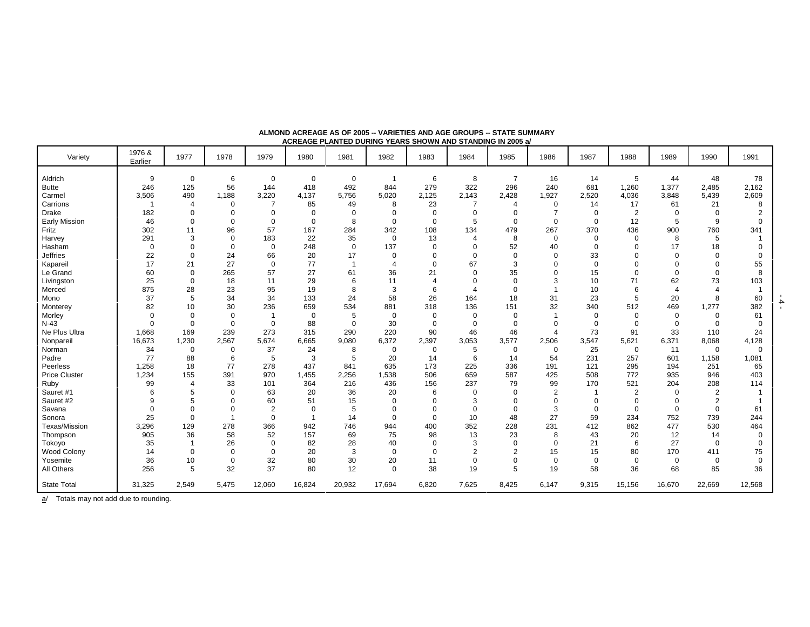| Variety              | 1976 &<br>Earlier | 1977        | 1978        | 1979           | 1980           | 1981           | 1982           | 1983           | 1984           | 1985           | 1986           | 1987        | 1988           | 1989                  | 1990           | 1991        |
|----------------------|-------------------|-------------|-------------|----------------|----------------|----------------|----------------|----------------|----------------|----------------|----------------|-------------|----------------|-----------------------|----------------|-------------|
| Aldrich              | 9                 | $\mathbf 0$ | 6           | 0              | $\mathbf 0$    | $\mathbf 0$    | -1             | 6              | 8              | $\overline{7}$ | 16             | 14          | 5              | 44                    | 48             | 78          |
| <b>Butte</b>         | 246               | 125         | 56          | 144            | 418            | 492            | 844            | 279            | 322            | 296            | 240            | 681         | 1,260          | 1,377                 | 2,485          | 2,162       |
| Carmel               | 3,506             | 490         | 1,188       | 3,220          | 4,137          | 5,756          | 5,020          | 2,125          | 2,143          | 2,428          | 1,927          | 2,520       | 4,036          | 3,848                 | 5,439          | 2,609       |
| Carrions             | $\overline{1}$    | 4           | $\mathbf 0$ |                | 85             | 49             | 8              | 23             | $\overline{7}$ | 4              | 0              | 14          | 17             | 61                    | 21             | 8           |
| Drake                | 182               | $\mathbf 0$ | $\Omega$    | $\Omega$       | 0              | 0              | 0              | 0              | 0              | 0              | 7              | $\mathbf 0$ | $\overline{2}$ | $\Omega$              | $\mathbf 0$    |             |
| <b>Early Mission</b> | 46                | $\mathbf 0$ | $\Omega$    | $\mathbf 0$    | $\mathbf 0$    | 8              | $\mathbf 0$    | $\mathbf 0$    | 5              | $\mathbf 0$    | $\mathbf 0$    | $\mathbf 0$ | 12             | 5                     | 9              |             |
| Fritz                | 302               | 11          | 96          | 57             | 167            | 284            | 342            | 108            | 134            | 479            | 267            | 370         | 436            | 900                   | 760            | 341         |
| Harvey               | 291               | 3           | $\Omega$    | 183            | 22             | 35             | $\mathbf 0$    | 13             | $\overline{4}$ | 8              | $\mathbf 0$    | $\Omega$    | $\Omega$       | 8                     | 5              |             |
| Hasham               | $\mathbf 0$       | $\Omega$    | $\Omega$    | $\Omega$       | 248            | $\mathbf 0$    | 137            | $\mathbf 0$    | $\mathbf 0$    | 52             | 40             | $\Omega$    | $\Omega$       | 17                    | 18             |             |
| <b>Jeffries</b>      | 22                | $\Omega$    | 24          | 66             | 20             | 17             | 0              | $\Omega$       | 0              | $\mathbf 0$    | $\Omega$       | 33          |                | $\Omega$              | $\Omega$       |             |
| Kapareil             | 17                | 21          | 27          | $\mathbf 0$    | 77             | $\overline{1}$ | $\overline{4}$ | $\Omega$       | 67             | 3              | $\mathbf 0$    | $\mathbf 0$ |                | $\Omega$              | $\mathbf 0$    | 55          |
| Le Grand             | 60                | $\Omega$    | 265         | 57             | 27             | 61             | 36             | 21             | 0              | 35             | $\Omega$       | 15          | $\Omega$       | $\Omega$              | $\Omega$       |             |
| Livingston           | 25                | $\mathbf 0$ | 18          | 11             | 29             | 6              | 11             | $\overline{4}$ | 0              | $\mathbf 0$    | 3              | 10          | 71             | 62                    | 73             | 103         |
| Merced               | 875               | 28          | 23          | 95             | 19             | 8              | 3              | 6              | Δ              | $\mathbf 0$    |                | 10          | 6              | $\boldsymbol{\Delta}$ | Δ              |             |
| Mono                 | 37                | 5           | 34          | 34             | 133            | 24             | 58             | 26             | 164            | 18             | 31             | 23          | 5              | 20                    | 8              | 60          |
| Monterey             | 82                | 10          | 30          | 236            | 659            | 534            | 881            | 318            | 136            | 151            | 32             | 340         | 512            | 469                   | 1,277          | 382         |
| Morley               | $\mathbf 0$       | $\Omega$    | $\mathbf 0$ |                | $\mathbf 0$    | 5              | 0              | $\mathbf 0$    | $\mathbf 0$    | $\mathbf 0$    |                | $\mathbf 0$ | $\mathbf 0$    | $\mathbf 0$           | $\mathbf 0$    | 61          |
| $N-43$               | $\Omega$          | $\mathbf 0$ | $\mathbf 0$ | $\mathbf 0$    | 88             | $\mathbf 0$    | 30             | $\mathbf 0$    | $\mathbf 0$    | $\mathbf 0$    | $\mathbf 0$    | $\Omega$    | $\Omega$       | $\mathbf 0$           | $\Omega$       |             |
| Ne Plus Ultra        | 1,668             | 169         | 239         | 273            | 315            | 290            | 220            | 90             | 46             | 46             | $\overline{4}$ | 73          | 91             | 33                    | 110            | 24          |
| Nonpareil            | 16,673            | 1,230       | 2,567       | 5,674          | 6,665          | 9,080          | 6,372          | 2,397          | 3,053          | 3,577          | 2,506          | 3,547       | 5,621          | 6,371                 | 8,068          | 4,128       |
| Norman               | 34                | $\mathbf 0$ | $\mathbf 0$ | 37             | 24             | 8              | 0              | $\mathbf 0$    | 5              | 0              | $\mathbf 0$    | 25          | $\mathbf 0$    | 11                    | $\mathbf 0$    | $\Omega$    |
| Padre                | 77                | 88          | 6           | 5              | 3              | 5              | 20             | 14             | 6              | 14             | 54             | 231         | 257            | 601                   | 1,158          | 1,081       |
| Peerless             | 1,258             | 18          | 77          | 278            | 437            | 841            | 635            | 173            | 225            | 336            | 191            | 121         | 295            | 194                   | 251            | 65          |
| <b>Price Cluster</b> | 1,234             | 155         | 391         | 970            | 1,455          | 2,256          | 1,538          | 506            | 659            | 587            | 425            | 508         | 772            | 935                   | 946            | 403         |
| Ruby                 | 99                | 4           | 33          | 101            | 364            | 216            | 436            | 156            | 237            | 79             | 99             | 170         | 521            | 204                   | 208            | 114         |
| Sauret #1            | 6                 |             | $\Omega$    | 63             | 20             | 36             | 20             | 6              | $\mathbf 0$    | $\mathbf 0$    | $\overline{2}$ |             | $\overline{2}$ | $\Omega$              | $\overline{2}$ |             |
| Sauret #2            | 9                 |             | $\Omega$    | 60             | 51             | 15             | $\mathbf 0$    | $\Omega$       | 3              | $\Omega$       | $\Omega$       | $\Omega$    | $\Omega$       | $\Omega$              | 2              |             |
| Savana               | $\Omega$          | $\Omega$    | $\Omega$    | $\overline{2}$ | $\Omega$       | 5              | 0              | $\Omega$       | 0              | $\mathbf 0$    | 3              | $\Omega$    | $\Omega$       | $\mathbf 0$           | $\mathbf 0$    | 61          |
| Sonora               | 25                | $\Omega$    |             | $\mathbf 0$    | $\overline{1}$ | 14             | $\mathbf 0$    | $\Omega$       | 10             | 48             | 27             | 59          | 234            | 752                   | 739            | 244         |
| Texas/Mission        | 3,296             | 129         | 278         | 366            | 942            | 746            | 944            | 400            | 352            | 228            | 231            | 412         | 862            | 477                   | 530            | 464         |
| Thompson             | 905               | 36          | 58          | 52             | 157            | 69             | 75             | 98             | 13             | 23             | 8              | 43          | 20             | 12                    | 14             | $\Omega$    |
| Tokoyo               | 35                |             | 26          | $\mathbf 0$    | 82             | 28             | 40             | $\Omega$       | 3              | $\mathbf 0$    | $\Omega$       | 21          | 6              | 27                    | $\Omega$       |             |
| <b>Wood Colony</b>   | 14                | $\mathbf 0$ | $\Omega$    | $\mathbf 0$    | 20             | 3              | $\mathbf 0$    | $\mathbf 0$    | 2              | $\overline{2}$ | 15             | 15          | 80             | 170                   | 411            | 75          |
| Yosemite             | 36                | 10          | $\mathbf 0$ | 32             | 80             | 30             | 20             | 11             | 0              | $\mathbf 0$    | $\mathbf 0$    | $\mathbf 0$ | $\mathbf 0$    | $\mathbf 0$           | $\mathbf 0$    | $\mathbf 0$ |
| All Others           | 256               | 5           | 32          | 37             | 80             | 12             | $\mathbf 0$    | 38             | 19             | 5              | 19             | 58          | 36             | 68                    | 85             | 36          |
| <b>State Total</b>   | 31,325            | 2,549       | 5,475       | 12,060         | 16,824         | 20,932         | 17,694         | 6,820          | 7,625          | 8,425          | 6,147          | 9,315       | 15,156         | 16,670                | 22,669         | 12,568      |

#### **ALMOND ACREAGE AS OF 2005 -- VARIETIES AND AGE GROUPS -- STATE SUMMARY ACREAGE PLANTED DURING YEARS SHOWN AND STANDING IN 2005 a/**

 $\underline{a}$  Totals may not add due to rounding.

 $-4$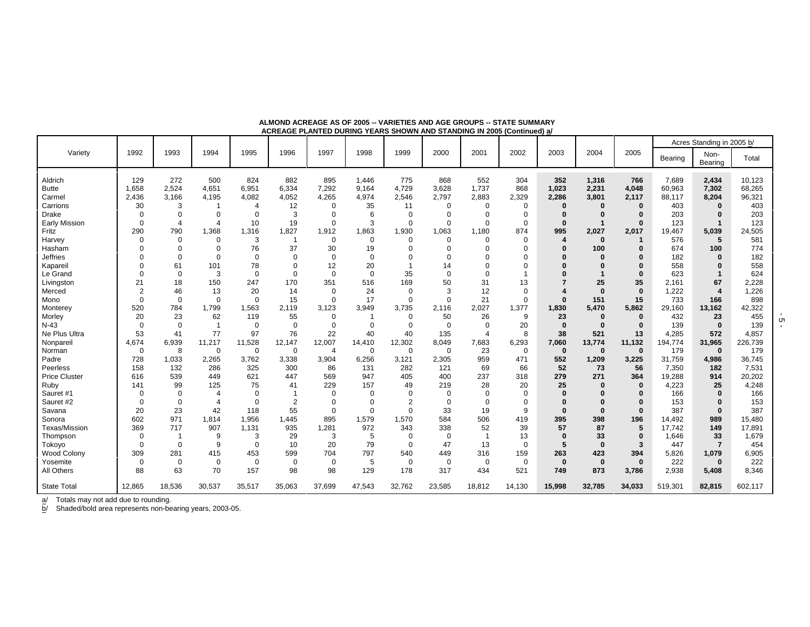|                      |                |                |                |                |                |                |             |                |             |                |             |                  |              |          |         | Acres Standing in 2005 b/ |         |
|----------------------|----------------|----------------|----------------|----------------|----------------|----------------|-------------|----------------|-------------|----------------|-------------|------------------|--------------|----------|---------|---------------------------|---------|
| Variety              | 1992           | 1993           | 1994           | 1995           | 1996           | 1997           | 1998        | 1999           | 2000        | 2001           | 2002        | 2003             | 2004         | 2005     | Bearing | Non-<br>Bearing           | Total   |
| Aldrich              | 129            | 272            | 500            | 824            | 882            | 895            | 1,446       | 775            | 868         | 552            | 304         | 352              | 1,316        | 766      | 7.689   | 2,434                     | 10,123  |
| <b>Butte</b>         | 1,658          | 2,524          | 4,651          | 6,951          | 6,334          | 7,292          | 9,164       | 4,729          | 3,628       | 1,737          | 868         | 1,023            | 2,231        | 4,048    | 60,963  | 7,302                     | 68,265  |
| Carmel               | 2,436          | 3,166          | 4,195          | 4,082          | 4,052          | 4,265          | 4,974       | 2,546          | 2,797       | 2,883          | 2,329       | 2,286            | 3,801        | 2,117    | 88,117  | 8,204                     | 96,321  |
| Carrions             | 30             | 3              |                | $\overline{4}$ | 12             | $\Omega$       | 35          | 11             | $\mathbf 0$ | 0              | $\Omega$    | $\Omega$         | $\Omega$     | $\Omega$ | 403     | $\Omega$                  | 403     |
| <b>Drake</b>         | $\Omega$       | $\Omega$       | $\Omega$       | $\Omega$       | 3              | $\Omega$       | 6           | $\mathbf 0$    | $\Omega$    | $\Omega$       | $\Omega$    |                  |              | 0        | 203     | 0                         | 203     |
| <b>Early Mission</b> | $\Omega$       | $\overline{4}$ | 4              | 10             | 19             | $\mathbf 0$    | 3           | $\mathbf 0$    | $\mathbf 0$ | $\Omega$       | $\Omega$    | $\Omega$         |              | $\Omega$ | 123     |                           | 123     |
| Fritz                | 290            | 790            | 1,368          | 1,316          | 1,827          | 1,912          | 1,863       | 1,930          | 1,063       | 1,180          | 874         | 995              | 2,027        | 2,017    | 19,467  | 5,039                     | 24,505  |
| Harvey               | $\mathbf 0$    | $\Omega$       | 0              | 3              |                | $\mathbf 0$    | $\mathbf 0$ | 0              | $\Omega$    | $\Omega$       | $\Omega$    | $\boldsymbol{4}$ | $\bf{0}$     |          | 576     | 5                         | 581     |
| Hasham               | $\Omega$       | $\Omega$       | $\Omega$       | 76             | 37             | 30             | 19          | $\Omega$       | $\Omega$    |                | $\Omega$    |                  | 100          |          | 674     | 100                       | 774     |
| <b>Jeffries</b>      | $\Omega$       | $\Omega$       | $\mathbf 0$    | $\mathbf 0$    | $\Omega$       | $\mathbf 0$    | $\Omega$    | $\Omega$       | $\Omega$    |                | 0           |                  | $\Omega$     |          | 182     | $\Omega$                  | 182     |
| Kapareil             | $\Omega$       | 61             | 101            | 78             | $\Omega$       | 12             | 20          |                | 14          |                | $\Omega$    |                  |              |          | 558     | $\Omega$                  | 558     |
| Le Grand             | $\Omega$       | $\mathbf 0$    | 3              | $\mathbf 0$    | $\Omega$       | $\mathbf 0$    | $\mathbf 0$ | 35             | $\Omega$    | $\Omega$       | -1          |                  |              | $\bf{0}$ | 623     |                           | 624     |
| Livingston           | 21             | 18             | 150            | 247            | 170            | 351            | 516         | 169            | 50          | 31             | 13          |                  | 25           | 35       | 2,161   | 67                        | 2,228   |
| Merced               | $\overline{2}$ | 46             | 13             | 20             | 14             | $\mathbf 0$    | 24          | $\mathbf 0$    | 3           | 12             | 0           |                  | $\mathbf{0}$ | $\bf{0}$ | 1,222   | 4                         | 1,226   |
| Mono                 | $\mathbf 0$    | $\mathbf 0$    | $\mathbf 0$    | $\mathbf 0$    | 15             | $\mathbf 0$    | 17          | 0              | $\mathbf 0$ | 21             | 0           | $\Omega$         | 151          | 15       | 733     | 166                       | 898     |
| Monterey             | 520            | 784            | 1,799          | 1,563          | 2,119          | 3,123          | 3,949       | 3,735          | 2,116       | 2,027          | 1,377       | 1,830            | 5,470        | 5,862    | 29,160  | 13,162                    | 42,322  |
| Morley               | 20             | 23             | 62             | 119            | 55             | $\mathbf 0$    | $\mathbf 1$ | 0              | 50          | 26             | 9           | 23               | $\bf{0}$     | $\bf{0}$ | 432     | 23                        | 455     |
| $N-43$               | $\overline{0}$ | $\mathbf 0$    | $\overline{1}$ | 0              | $\mathbf 0$    | $\mathbf 0$    | $\Omega$    | $\mathbf 0$    | $\mathbf 0$ | $\mathbf 0$    | 20          | $\bf{0}$         | $\bf{0}$     | $\bf{0}$ | 139     | $\bf{0}$                  | 139     |
| Ne Plus Ultra        | 53             | 41             | 77             | 97             | 76             | 22             | 40          | 40             | 135         | $\overline{4}$ | 8           | 38               | 521          | 13       | 4,285   | 572                       | 4,857   |
| Nonpareil            | 4,674          | 6,939          | 11,217         | 11,528         | 12,147         | 12,007         | 14,410      | 12,302         | 8,049       | 7,683          | 6,293       | 7,060            | 13,774       | 11,132   | 194,774 | 31,965                    | 226,739 |
| Norman               | $\overline{0}$ | 8              | 0              | $\mathbf 0$    | $\mathbf 0$    | $\overline{4}$ | $\Omega$    | $\mathbf 0$    | $\mathbf 0$ | 23             | $\mathbf 0$ | $\bf{0}$         | $\bf{0}$     | $\bf{0}$ | 179     | $\mathbf{0}$              | 179     |
| Padre                | 728            | 1,033          | 2,265          | 3,762          | 3,338          | 3,904          | 6,256       | 3,121          | 2,305       | 959            | 471         | 552              | 1,209        | 3,225    | 31,759  | 4,986                     | 36,745  |
| Peerless             | 158            | 132            | 286            | 325            | 300            | 86             | 131         | 282            | 121         | 69             | 66          | 52               | 73           | 56       | 7,350   | 182                       | 7,531   |
| <b>Price Cluster</b> | 616            | 539            | 449            | 621            | 447            | 569            | 947         | 405            | 400         | 237            | 318         | 279              | 271          | 364      | 19,288  | 914                       | 20,202  |
| Ruby                 | 141            | 99             | 125            | 75             | 41             | 229            | 157         | 49             | 219         | 28             | 20          | 25               | $\Omega$     | $\bf{0}$ | 4,223   | 25                        | 4,248   |
| Sauret #1            | $\Omega$       | $\Omega$       | 4              | $\Omega$       |                | $\Omega$       | $\Omega$    | $\Omega$       | $\Omega$    | $\Omega$       | $\Omega$    | $\Omega$         |              |          | 166     | $\Omega$                  | 166     |
| Sauret #2            | $\mathbf 0$    | $\mathbf 0$    | $\overline{4}$ | $\mathbf 0$    | $\overline{2}$ | $\mathbf 0$    | $\Omega$    | $\overline{2}$ | $\mathbf 0$ | $\Omega$       | 0           | $\Omega$         |              |          | 153     | 0                         | 153     |
| Savana               | 20             | 23             | 42             | 118            | 55             | $\Omega$       | $\Omega$    | $\Omega$       | 33          | 19             | 9           | $\Omega$         | $\Omega$     | $\Omega$ | 387     | $\bf{0}$                  | 387     |
| Sonora               | 602            | 971            | 1,814          | 1,956          | 1,445          | 895            | 1,579       | 1,570          | 584         | 506            | 419         | 395              | 398          | 196      | 14,492  | 989                       | 15,480  |
| Texas/Mission        | 369            | 717            | 907            | 1,131          | 935            | 1,281          | 972         | 343            | 338         | 52             | 39          | 57               | 87           | 5        | 17,742  | 149                       | 17,891  |
| Thompson             | $\Omega$       | $\overline{1}$ | 9              | 3              | 29             | 3              | 5           | 0              | $\mathbf 0$ |                | 13          | $\Omega$         | 33           | $\bf{0}$ | 1.646   | 33                        | 1,679   |
| Tokoyo               | $\Omega$       | $\mathbf 0$    | 9              | $\mathbf 0$    | 10             | 20             | 79          | $\mathbf 0$    | 47          | 13             | $\Omega$    | 5                | $\mathbf{0}$ | 3        | 447     | $\overline{7}$            | 454     |
| <b>Wood Colony</b>   | 309            | 281            | 415            | 453            | 599            | 704            | 797         | 540            | 449         | 316            | 159         | 263              | 423          | 394      | 5,826   | 1,079                     | 6,905   |
| Yosemite             | $\mathbf 0$    | $\mathbf 0$    | 0              | $\mathbf 0$    | $\mathbf 0$    | 0              | 5           | $\mathbf 0$    | 0           | $\mathbf 0$    | $\mathbf 0$ | $\mathbf 0$      | $\mathbf 0$  | $\bf{0}$ | 222     | $\mathbf 0$               | 222     |
| All Others           | 88             | 63             | 70             | 157            | 98             | 98             | 129         | 178            | 317         | 434            | 521         | 749              | 873          | 3,786    | 2,938   | 5,408                     | 8,346   |
| <b>State Total</b>   | 12,865         | 18,536         | 30,537         | 35,517         | 35,063         | 37.699         | 47,543      | 32,762         | 23,585      | 18,812         | 14,130      | 15,998           | 32,785       | 34,033   | 519,301 | 82,815                    | 602,117 |

**ALMOND ACREAGE AS OF 2005 -- VARIETIES AND AGE GROUPS -- STATE SUMMARYACREAGE PLANTED DURING YEARS SHOWN AND STANDING IN 2005 (Continued) a/**

a/ Totals may not add due to rounding.

b/ Shaded/bold area represents non-bearing years, 2003-05.

- 5 -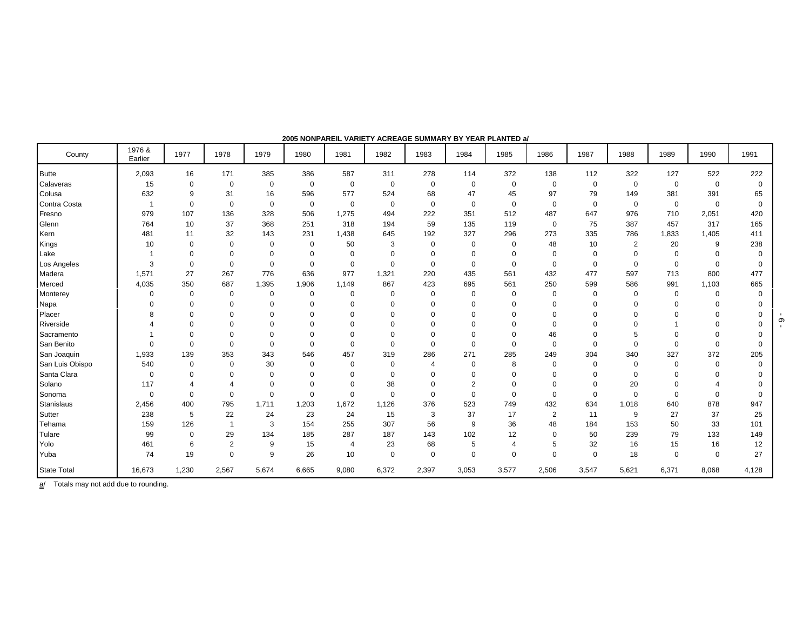| County             | 1976 &<br>Earlier | 1977        | 1978           | 1979        | 1980        | 1981        | 1982        | 1983        | 1984           | 1985           | 1986           | 1987        | 1988           | 1989        | 1990     | 1991     |
|--------------------|-------------------|-------------|----------------|-------------|-------------|-------------|-------------|-------------|----------------|----------------|----------------|-------------|----------------|-------------|----------|----------|
| <b>Butte</b>       | 2,093             | 16          | 171            | 385         | 386         | 587         | 311         | 278         | 114            | 372            | 138            | 112         | 322            | 127         | 522      | 222      |
| Calaveras          | 15                | 0           | $\mathbf 0$    | 0           | $\mathbf 0$ | $\mathbf 0$ | $\mathbf 0$ | $\mathbf 0$ | $\mathbf 0$    | 0              | 0              | $\mathbf 0$ | $\overline{0}$ | $\mathbf 0$ | 0        | $\Omega$ |
| Colusa             | 632               | 9           | 31             | 16          | 596         | 577         | 524         | 68          | 47             | 45             | 97             | 79          | 149            | 381         | 391      | 65       |
| Contra Costa       | $\overline{1}$    | 0           | $\mathbf 0$    | $\mathbf 0$ | $\mathbf 0$ | $\mathbf 0$ | $\mathbf 0$ | $\mathbf 0$ | $\mathbf 0$    | $\mathbf 0$    | 0              | $\mathbf 0$ | $\mathbf 0$    | $\mathbf 0$ | 0        | $\Omega$ |
| Fresno             | 979               | 107         | 136            | 328         | 506         | 1,275       | 494         | 222         | 351            | 512            | 487            | 647         | 976            | 710         | 2,051    | 420      |
| Glenn              | 764               | 10          | 37             | 368         | 251         | 318         | 194         | 59          | 135            | 119            | 0              | 75          | 387            | 457         | 317      | 165      |
| Kern               | 481               | 11          | 32             | 143         | 231         | 1,438       | 645         | 192         | 327            | 296            | 273            | 335         | 786            | 1,833       | 1,405    | 411      |
| Kings              | 10                | 0           | $\Omega$       | 0           | 0           | 50          | 3           | $\mathbf 0$ | $\mathbf 0$    | $\mathbf 0$    | 48             | 10          | $\overline{2}$ | 20          | 9        | 238      |
| Lake               |                   | $\Omega$    | $\Omega$       | $\mathbf 0$ | 0           | $\mathbf 0$ | $\Omega$    | $\mathbf 0$ | $\mathbf 0$    | $\mathbf 0$    | 0              | $\Omega$    | $\Omega$       | $\Omega$    | $\Omega$ |          |
| Los Angeles        | 3                 | $\mathbf 0$ | $\mathbf 0$    | $\mathbf 0$ | 0           | $\mathbf 0$ | $\Omega$    | $\mathbf 0$ | $\mathbf 0$    | $\mathbf 0$    | 0              | $\Omega$    | $\mathbf 0$    | $\mathbf 0$ | $\Omega$ | 0        |
| Madera             | 1,571             | 27          | 267            | 776         | 636         | 977         | 1,321       | 220         | 435            | 561            | 432            | 477         | 597            | 713         | 800      | 477      |
| Merced             | 4,035             | 350         | 687            | 1,395       | 1,906       | 1,149       | 867         | 423         | 695            | 561            | 250            | 599         | 586            | 991         | 1,103    | 665      |
| Monterey           | $\mathbf 0$       | $\mathbf 0$ | $\mathbf 0$    | $\mathbf 0$ | $\mathbf 0$ | 0           | $\Omega$    | $\mathbf 0$ | $\mathbf 0$    | $\mathbf 0$    | 0              | $\mathbf 0$ | 0              | $\mathbf 0$ | $\Omega$ |          |
| Napa               | $\Omega$          | $\Omega$    | $\Omega$       | $\Omega$    | $\Omega$    | $\mathbf 0$ | $\Omega$    | $\Omega$    | $\Omega$       | $\Omega$       | $\Omega$       | $\Omega$    | $\Omega$       | $\Omega$    | 0        |          |
| Placer             | 8                 | $\Omega$    | $\Omega$       | $\Omega$    | $\Omega$    | $\Omega$    |             | $\Omega$    | $\Omega$       |                |                |             | O              |             | ŋ        |          |
| Riverside          |                   | $\Omega$    | $\Omega$       | $\Omega$    | $\Omega$    | $\Omega$    |             | $\Omega$    | $\Omega$       | $\Omega$       | 0              |             |                |             |          |          |
| Sacramento         |                   | $\Omega$    | $\Omega$       | $\Omega$    | $\Omega$    | $\mathbf 0$ | $\Omega$    | $\mathbf 0$ | $\mathbf 0$    | $\Omega$       | 46             |             | 5              |             |          |          |
| San Benito         | $\Omega$          | $\Omega$    | $\Omega$       | $\Omega$    | $\mathbf 0$ | $\Omega$    | $\Omega$    | $\Omega$    | $\mathbf 0$    | $\mathbf 0$    | $\mathbf 0$    | $\Omega$    | $\Omega$       | $\Omega$    | $\Omega$ |          |
| San Joaquin        | 1,933             | 139         | 353            | 343         | 546         | 457         | 319         | 286         | 271            | 285            | 249            | 304         | 340            | 327         | 372      | 205      |
| San Luis Obispo    | 540               | $\Omega$    | $\Omega$       | 30          | $\Omega$    | 0           | $\Omega$    | 4           | $\mathbf 0$    | 8              | 0              | $\Omega$    | $\Omega$       | $\Omega$    | $\Omega$ |          |
| Santa Clara        | $\Omega$          | $\Omega$    | $\Omega$       | $\Omega$    | $\Omega$    | $\mathbf 0$ | $\Omega$    | $\Omega$    | $\mathbf 0$    | $\Omega$       | $\Omega$       | $\Omega$    | $\Omega$       |             | $\Omega$ |          |
| Solano             | 117               |             |                | $\Omega$    | $\Omega$    | $\Omega$    | 38          | $\mathbf 0$ | $\overline{2}$ | $\mathbf 0$    | 0              | $\Omega$    | 20             |             |          |          |
| Sonoma             | $\mathbf 0$       | $\Omega$    | $\Omega$       | $\Omega$    | $\Omega$    | $\mathbf 0$ | $\Omega$    | $\Omega$    | $\mathbf 0$    | $\mathbf 0$    | $\Omega$       | $\Omega$    | $\Omega$       | $\Omega$    | $\Omega$ |          |
| <b>Stanislaus</b>  | 2,456             | 400         | 795            | 1,711       | 1,203       | 1,672       | 1,126       | 376         | 523            | 749            | 432            | 634         | 1,018          | 640         | 878      | 947      |
| Sutter             | 238               | 5           | 22             | 24          | 23          | 24          | 15          | 3           | 37             | 17             | $\overline{2}$ | 11          | 9              | 27          | 37       | 25       |
| Tehama             | 159               | 126         |                | 3           | 154         | 255         | 307         | 56          | 9              | 36             | 48             | 184         | 153            | 50          | 33       | 101      |
| Tulare             | 99                | $\Omega$    | 29             | 134         | 185         | 287         | 187         | 143         | 102            | 12             | 0              | 50          | 239            | 79          | 133      | 149      |
| Yolo               | 461               | 6           | $\overline{2}$ | 9           | 15          | 4           | 23          | 68          | 5              | $\overline{4}$ | 5              | 32          | 16             | 15          | 16       | 12       |
| Yuba               | 74                | 19          | $\Omega$       | 9           | 26          | 10          | $\mathbf 0$ | $\mathbf 0$ | $\mathbf 0$    | $\Omega$       | $\Omega$       | $\Omega$    | 18             | $\Omega$    | $\Omega$ | 27       |
| <b>State Total</b> | 16,673            | 1,230       | 2,567          | 5,674       | 6,665       | 9,080       | 6,372       | 2,397       | 3,053          | 3,577          | 2,506          | 3,547       | 5,621          | 6,371       | 8,068    | 4,128    |

 $\underline{a}$  Totals may not add due to rounding.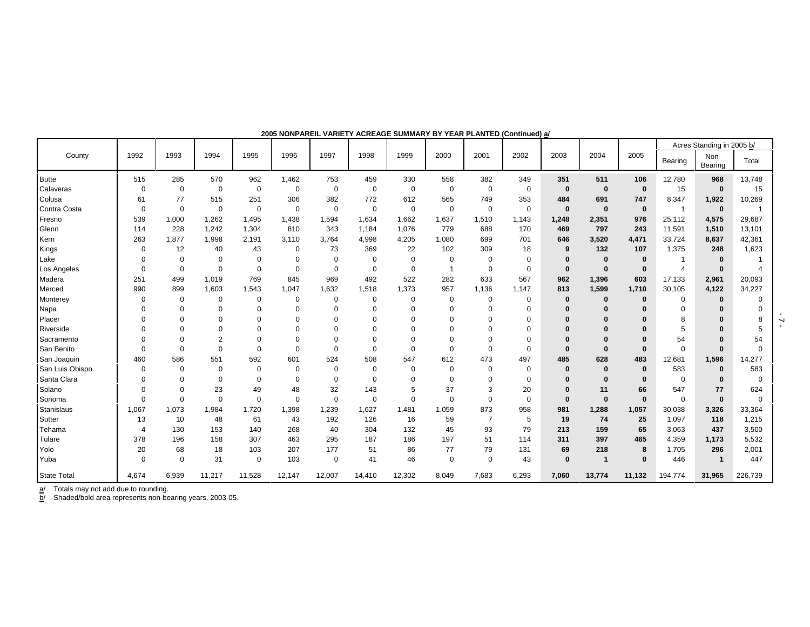|                    |             |             |                |                |             |             |             |             |             |                |             |              |             |              |                | Acres Standing in 2005 b/ |             |
|--------------------|-------------|-------------|----------------|----------------|-------------|-------------|-------------|-------------|-------------|----------------|-------------|--------------|-------------|--------------|----------------|---------------------------|-------------|
| County             | 1992        | 1993        | 1994           | 1995           | 1996        | 1997        | 1998        | 1999        | 2000        | 2001           | 2002        | 2003         | 2004        | 2005         | Bearing        | Non-<br>Bearing           | Total       |
| <b>Butte</b>       | 515         | 285         | 570            | 962            | 1,462       | 753         | 459         | 330         | 558         | 382            | 349         | 351          | 511         | 106          | 12,780         | 968                       | 13,748      |
| Calaveras          | $\Omega$    | 0           | $\mathbf 0$    | $\mathbf 0$    | 0           | $\mathbf 0$ | $\mathbf 0$ | 0           | $\mathbf 0$ | $\mathbf 0$    | $\mathbf 0$ | $\bf{0}$     | $\bf{0}$    | $\mathbf{0}$ | 15             | $\mathbf 0$               | 15          |
| Colusa             | 61          | 77          | 515            | 251            | 306         | 382         | 772         | 612         | 565         | 749            | 353         | 484          | 691         | 747          | 8,347          | 1,922                     | 10,269      |
| Contra Costa       | $\mathbf 0$ | $\mathbf 0$ | $\mathbf 0$    | $\mathbf 0$    | $\mathbf 0$ | $\mathbf 0$ | $\mathbf 0$ | $\mathbf 0$ | $\mathbf 0$ | $\mathbf 0$    | $\mathbf 0$ | $\mathbf{0}$ | $\mathbf 0$ | $\mathbf{0}$ | $\overline{1}$ | $\mathbf 0$               |             |
| Fresno             | 539         | 1,000       | 1,262          | 1,495          | 1,438       | 1,594       | 1,634       | 1,662       | 1,637       | 1,510          | 1,143       | 1,248        | 2,351       | 976          | 25,112         | 4,575                     | 29,687      |
| Glenn              | 114         | 228         | 1,242          | 1,304          | 810         | 343         | 1,184       | 1,076       | 779         | 688            | 170         | 469          | 797         | 243          | 11,591         | 1,510                     | 13,101      |
| Kern               | 263         | 1,877       | 1,998          | 2,191          | 3,110       | 3,764       | 4,998       | 4,205       | 1,080       | 699            | 701         | 646          | 3,520       | 4,471        | 33,724         | 8,637                     | 42,361      |
| Kings              | $\Omega$    | 12          | 40             | 43             | 0           | 73          | 369         | 22          | 102         | 309            | 18          | 9            | 132         | 107          | 1,375          | 248                       | 1,623       |
| Lake               | $\Omega$    | $\mathbf 0$ | 0              | $\mathbf 0$    | $\Omega$    | $\Omega$    | $\mathbf 0$ | $\Omega$    | $\mathbf 0$ | $\mathbf 0$    | $\Omega$    | 0            | $\bf{0}$    | $\bf{0}$     |                | $\bf{0}$                  |             |
| Los Angeles        | $\Omega$    | $\Omega$    | $\Omega$       | $\overline{0}$ | $\mathbf 0$ | $\Omega$    | $\mathbf 0$ | $\mathbf 0$ | -1          | $\mathbf 0$    | $\mathbf 0$ | $\bf{0}$     | $\bf{0}$    | $\bf{0}$     | $\overline{4}$ | $\bf{0}$                  |             |
| Madera             | 251         | 499         | 1,019          | 769            | 845         | 969         | 492         | 522         | 282         | 633            | 567         | 962          | 1,396       | 603          | 17,133         | 2,961                     | 20,093      |
| Merced             | 990         | 899         | 1,603          | 1,543          | 1,047       | 1,632       | 1,518       | 1,373       | 957         | 1,136          | 1,147       | 813          | 1,599       | 1,710        | 30,105         | 4,122                     | 34,227      |
| Monterey           | O           | 0           | 0              | $\mathbf 0$    | 0           | $\Omega$    | 0           | $\Omega$    | 0           | $\mathbf 0$    | 0           | 0            | $\bf{0}$    | $\bf{0}$     | $\Omega$       | $\bf{0}$                  |             |
| Napa               |             | $\Omega$    | $\Omega$       | $\Omega$       | $\Omega$    | 0           | $\Omega$    | $\Omega$    | $\Omega$    | $\mathbf 0$    | $\Omega$    |              |             |              | $\Omega$       | 0                         |             |
| Placer             |             |             | 0              | $\Omega$       | $\Omega$    |             | 0           | $\Omega$    | $\Omega$    | $\Omega$       | $\Omega$    |              |             |              | 8              | $\bf{0}$                  |             |
| Riverside          |             | $\Omega$    | $\Omega$       | $\Omega$       | $\Omega$    |             |             |             | $\Omega$    | $\Omega$       | $\Omega$    |              |             |              | 5              | $\Omega$                  |             |
| Sacramento         | U           | $\Omega$    | $\overline{2}$ | $\Omega$       | $\Omega$    | 0           | O           | $\Omega$    | $\Omega$    | $\Omega$       | $\Omega$    | 0            | O           | $\Omega$     | 54             | $\Omega$                  | 54          |
| San Benito         | $\Omega$    | $\Omega$    | $\Omega$       | $\mathbf 0$    | $\Omega$    | $\Omega$    | $\mathbf 0$ | $\Omega$    | $\mathbf 0$ | $\mathbf 0$    | $\mathbf 0$ | $\Omega$     | $\bf{0}$    | $\Omega$     | $\Omega$       | $\Omega$                  | $\Omega$    |
| San Joaquin        | 460         | 586         | 551            | 592            | 601         | 524         | 508         | 547         | 612         | 473            | 497         | 485          | 628         | 483          | 12,681         | 1,596                     | 14,277      |
| San Luis Obispo    | $\Omega$    | $\mathbf 0$ | $\mathbf 0$    | $\mathbf 0$    | 0           | 0           | $\mathbf 0$ | $\mathbf 0$ | $\mathbf 0$ | $\mathbf 0$    | 0           | $\bf{0}$     | $\bf{0}$    | $\mathbf 0$  | 583            | $\bf{0}$                  | 583         |
| Santa Clara        | $\Omega$    | $\Omega$    | 0              | $\mathbf 0$    | 0           | 0           | $\mathbf 0$ | $\Omega$    | 0           | $\mathbf 0$    | $\mathbf 0$ | 0            | 0           | $\mathbf 0$  | $\mathbf 0$    | $\bf{0}$                  | $\mathbf 0$ |
| Solano             | $\Omega$    | $\Omega$    | 23             | 49             | 48          | 32          | 143         | 5           | 37          | 3              | 20          | $\Omega$     | 11          | 66           | 547            | 77                        | 624         |
| Sonoma             | $\Omega$    | 0           | $\mathbf 0$    | $\mathbf 0$    | $\mathbf 0$ | $\mathbf 0$ | $\mathbf 0$ | 0           | $\mathbf 0$ | $\mathbf 0$    | $\mathbf 0$ | $\bf{0}$     | $\bf{0}$    | $\bf{0}$     | $\mathbf 0$    | $\bf{0}$                  | $\Omega$    |
| Stanislaus         | 1,067       | 1,073       | 1,984          | 1,720          | 1,398       | 1,239       | 1,627       | 1,481       | 1,059       | 873            | 958         | 981          | 1,288       | 1,057        | 30,038         | 3,326                     | 33,364      |
| Sutter             | 13          | 10          | 48             | 61             | 43          | 192         | 126         | 16          | 59          | $\overline{7}$ | 5           | 19           | 74          | 25           | 1,097          | 118                       | 1,215       |
| Tehama             | 4           | 130         | 153            | 140            | 268         | 40          | 304         | 132         | 45          | 93             | 79          | 213          | 159         | 65           | 3,063          | 437                       | 3,500       |
| Tulare             | 378         | 196         | 158            | 307            | 463         | 295         | 187         | 186         | 197         | 51             | 114         | 311          | 397         | 465          | 4,359          | 1,173                     | 5,532       |
| Yolo               | 20          | 68          | 18             | 103            | 207         | 177         | 51          | 86          | 77          | 79             | 131         | 69           | 218         | 8            | 1,705          | 296                       | 2,001       |
| Yuba               | $\Omega$    | $\mathbf 0$ | 31             | $\mathbf 0$    | 103         | 0           | 41          | 46          | $\mathbf 0$ | $\mathbf 0$    | 43          | 0            |             | $\Omega$     | 446            | $\mathbf 1$               | 447         |
| <b>State Total</b> | 4,674       | 6,939       | 11,217         | 11,528         | 12,147      | 12,007      | 14,410      | 12,302      | 8,049       | 7,683          | 6,293       | 7,060        | 13,774      | 11,132       | 194,774        | 31,965                    | 226,739     |

**2005 NONPAREIL VARIETY ACREAGE SUMMARY BY YEAR PLANTED (Continued) a/**

a/ Totals may not add due to rounding.

b/ Shaded/bold area represents non-bearing years, 2003-05.

- 7 -